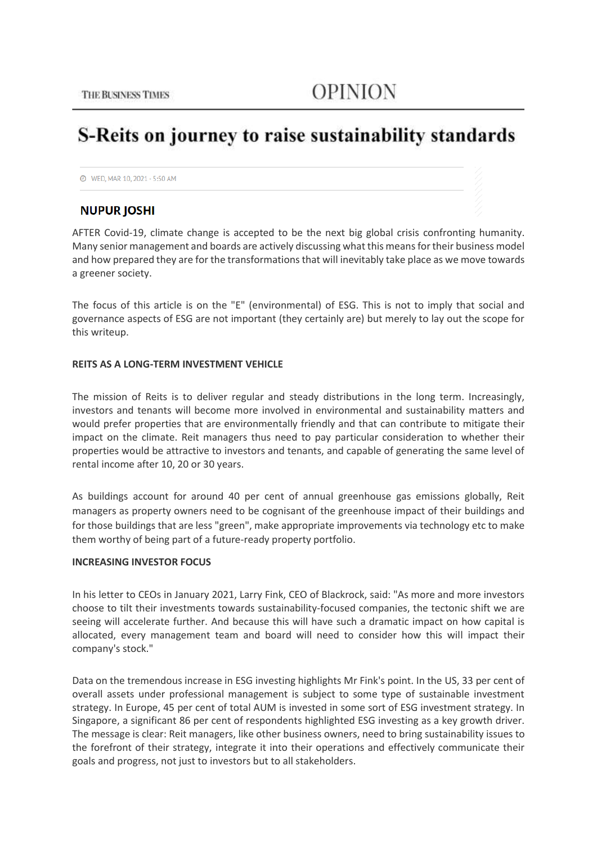# S-Reits on journey to raise sustainability standards

**@** WED, MAR 10, 2021 - 5:50 AM

# **NUPUR JOSHI**

AFTER Covid-19, climate change is accepted to be the next big global crisis confronting humanity. Many senior management and boards are actively discussing what this means for their business model and how prepared they are for the transformations that will inevitably take place as we move towards a greener society.

The focus of this article is on the "E" (environmental) of ESG. This is not to imply that social and governance aspects of ESG are not important (they certainly are) but merely to lay out the scope for this writeup.

#### **REITS AS A LONG-TERM INVESTMENT VEHICLE**

The mission of Reits is to deliver regular and steady distributions in the long term. Increasingly, investors and tenants will become more involved in environmental and sustainability matters and would prefer properties that are environmentally friendly and that can contribute to mitigate their impact on the climate. Reit managers thus need to pay particular consideration to whether their properties would be attractive to investors and tenants, and capable of generating the same level of rental income after 10, 20 or 30 years.

As buildings account for around 40 per cent of annual greenhouse gas emissions globally, Reit managers as property owners need to be cognisant of the greenhouse impact of their buildings and for those buildings that are less "green", make appropriate improvements via technology etc to make them worthy of being part of a future-ready property portfolio.

# **INCREASING INVESTOR FOCUS**

In his letter to CEOs in January 2021, Larry Fink, CEO of Blackrock, said: "As more and more investors choose to tilt their investments towards sustainability-focused companies, the tectonic shift we are seeing will accelerate further. And because this will have such a dramatic impact on how capital is allocated, every management team and board will need to consider how this will impact their company's stock."

Data on the tremendous increase in ESG investing highlights Mr Fink's point. In the US, 33 per cent of overall assets under professional management is subject to some type of sustainable investment strategy. In Europe, 45 per cent of total AUM is invested in some sort of ESG investment strategy. In Singapore, a significant 86 per cent of respondents highlighted ESG investing as a key growth driver. The message is clear: Reit managers, like other business owners, need to bring sustainability issues to the forefront of their strategy, integrate it into their operations and effectively communicate their goals and progress, not just to investors but to all stakeholders.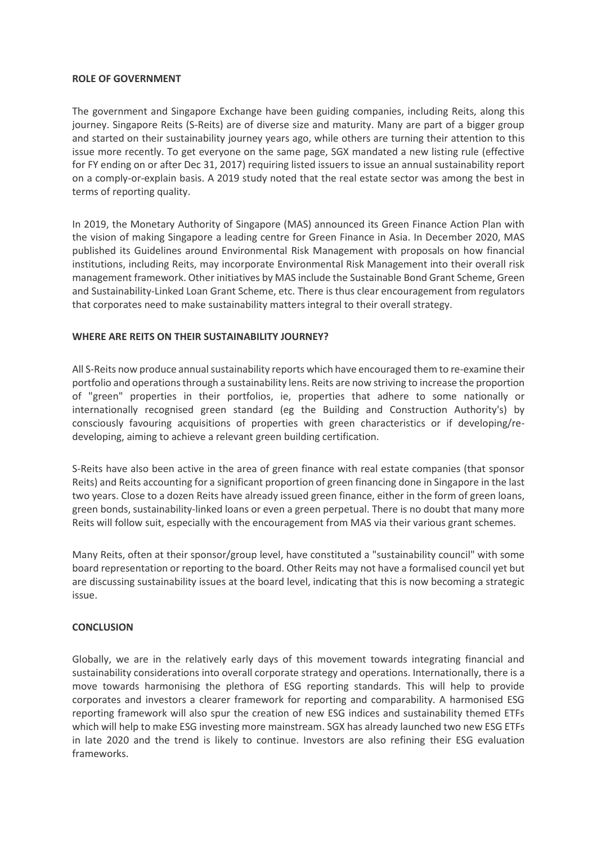#### **ROLE OF GOVERNMENT**

The government and Singapore Exchange have been guiding companies, including Reits, along this journey. Singapore Reits (S-Reits) are of diverse size and maturity. Many are part of a bigger group and started on their sustainability journey years ago, while others are turning their attention to this issue more recently. To get everyone on the same page, SGX mandated a new listing rule (effective for FY ending on or after Dec 31, 2017) requiring listed issuers to issue an annual sustainability report on a comply-or-explain basis. A 2019 study noted that the real estate sector was among the best in terms of reporting quality.

In 2019, the Monetary Authority of Singapore (MAS) announced its Green Finance Action Plan with the vision of making Singapore a leading centre for Green Finance in Asia. In December 2020, MAS published its Guidelines around Environmental Risk Management with proposals on how financial institutions, including Reits, may incorporate Environmental Risk Management into their overall risk management framework. Other initiatives by MAS include the Sustainable Bond Grant Scheme, Green and Sustainability-Linked Loan Grant Scheme, etc. There is thus clear encouragement from regulators that corporates need to make sustainability matters integral to their overall strategy.

# **WHERE ARE REITS ON THEIR SUSTAINABILITY JOURNEY?**

All S-Reits now produce annual sustainability reports which have encouraged them to re-examine their portfolio and operations through a sustainability lens. Reits are now striving to increase the proportion of "green" properties in their portfolios, ie, properties that adhere to some nationally or internationally recognised green standard (eg the Building and Construction Authority's) by consciously favouring acquisitions of properties with green characteristics or if developing/redeveloping, aiming to achieve a relevant green building certification.

S-Reits have also been active in the area of green finance with real estate companies (that sponsor Reits) and Reits accounting for a significant proportion of green financing done in Singapore in the last two years. Close to a dozen Reits have already issued green finance, either in the form of green loans, green bonds, sustainability-linked loans or even a green perpetual. There is no doubt that many more Reits will follow suit, especially with the encouragement from MAS via their various grant schemes.

Many Reits, often at their sponsor/group level, have constituted a "sustainability council" with some board representation or reporting to the board. Other Reits may not have a formalised council yet but are discussing sustainability issues at the board level, indicating that this is now becoming a strategic issue.

# **CONCLUSION**

Globally, we are in the relatively early days of this movement towards integrating financial and sustainability considerations into overall corporate strategy and operations. Internationally, there is a move towards harmonising the plethora of ESG reporting standards. This will help to provide corporates and investors a clearer framework for reporting and comparability. A harmonised ESG reporting framework will also spur the creation of new ESG indices and sustainability themed ETFs which will help to make ESG investing more mainstream. SGX has already launched two new ESG ETFs in late 2020 and the trend is likely to continue. Investors are also refining their ESG evaluation frameworks.